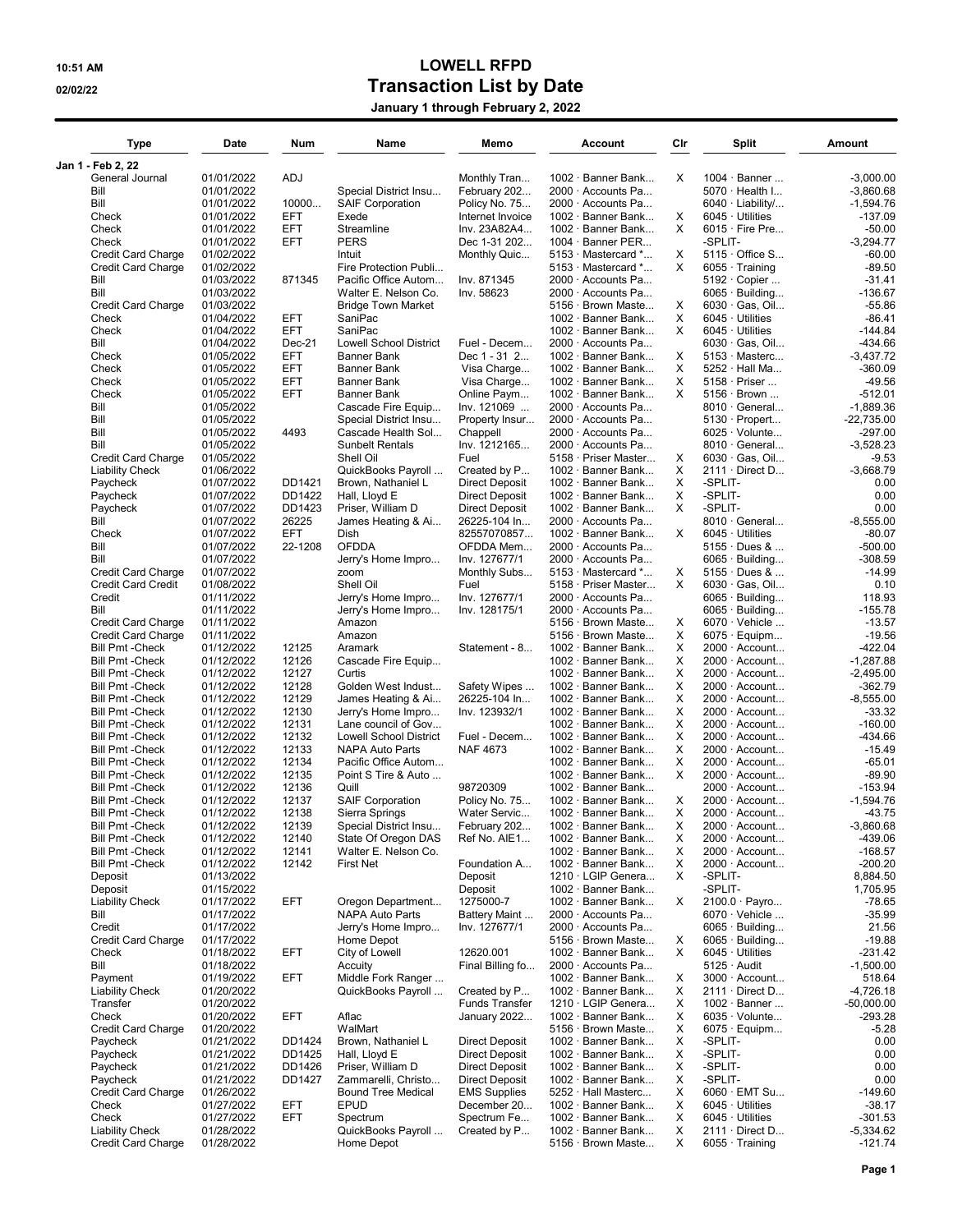## 10:51 AM LOWELL RFPD 02/02/22 O2/02/22 and the USA of Transaction List by Date

|  |  | January 1 through February 2, 2022 |  |
|--|--|------------------------------------|--|
|--|--|------------------------------------|--|

| Type                                                | Date                     | Num               | Name                                         | Memo                                           | Account                                        | Cir     | Split                                          | Amount                   |
|-----------------------------------------------------|--------------------------|-------------------|----------------------------------------------|------------------------------------------------|------------------------------------------------|---------|------------------------------------------------|--------------------------|
| Jan 1 - Feb 2, 22<br>General Journal                | 01/01/2022               | ADJ               |                                              | Monthly Tran                                   | 1002 · Banner Bank                             | X       | 1004 · Banner                                  | $-3.000.00$              |
| Bill                                                | 01/01/2022               |                   | Special District Insu                        | February 202                                   | 2000 · Accounts Pa                             |         | 5070 · Health I                                | $-3,860.68$              |
| Bill                                                | 01/01/2022               | 10000             | <b>SAIF Corporation</b>                      | Policy No. 75                                  | 2000 · Accounts Pa                             |         | 6040 · Liability/                              | $-1,594.76$              |
| Check                                               | 01/01/2022               | EFT               | Exede                                        | Internet Invoice                               | 1002 · Banner Bank                             | х       | $6045 \cdot$ Utilities                         | $-137.09$                |
| Check                                               | 01/01/2022               | EFT               | Streamline                                   | Inv. 23A82A4                                   | 1002 · Banner Bank                             | X       | $6015 \cdot$ Fire Pre                          | $-50.00$                 |
| Check                                               | 01/01/2022               | EFT               | PERS                                         | Dec 1-31 202                                   | 1004 $\cdot$ Banner PER                        |         | -SPLIT-                                        | $-3,294.77$              |
| <b>Credit Card Charge</b>                           | 01/02/2022               |                   | Intuit                                       | Monthly Quic                                   | 5153 Mastercard *                              | X       | $5115 \cdot$ Office S                          | $-60.00$                 |
| <b>Credit Card Charge</b>                           | 01/02/2022               |                   | Fire Protection Publi                        |                                                | 5153 · Mastercard *                            | X       | $6055 \cdot$ Training                          | $-89.50$                 |
| Bill<br>Bill                                        | 01/03/2022<br>01/03/2022 | 871345            | Pacific Office Autom<br>Walter E. Nelson Co. | Inv. 871345<br>Inv. 58623                      | 2000 · Accounts Pa<br>$2000 \cdot$ Accounts Pa |         | $5192 \cdot$ Copier<br>$6065 \cdot$ Building   | $-31.41$<br>$-136.67$    |
| <b>Credit Card Charge</b>                           | 01/03/2022               |                   | <b>Bridge Town Market</b>                    |                                                | 5156 · Brown Maste                             | х       | $6030 \cdot$ Gas, Oil                          | $-55.86$                 |
| Check                                               | 01/04/2022               | EFT               | SaniPac                                      |                                                | 1002 · Banner Bank                             | X       | $6045 \cdot$ Utilities                         | $-86.41$                 |
| Check                                               | 01/04/2022               | <b>EFT</b>        | SaniPac                                      |                                                | 1002 · Banner Bank                             | X       | $6045 \cdot$ Utilities                         | $-144.84$                |
| Bill                                                | 01/04/2022               | $Dec-21$          | <b>Lowell School District</b>                | Fuel - Decem                                   | 2000 · Accounts Pa                             |         | 6030 · Gas, Oil                                | -434.66                  |
| Check                                               | 01/05/2022               | EFT               | Banner Bank                                  | Dec 1 - 31 2                                   | 1002 · Banner Bank                             | X       | $5153 \cdot$ Masterc                           | $-3,437.72$              |
| Check                                               | 01/05/2022               | <b>EFT</b>        | Banner Bank                                  | Visa Charge                                    | 1002 · Banner Bank                             | X       | 5252 · Hall Ma                                 | $-360.09$                |
| Check<br>Check                                      | 01/05/2022<br>01/05/2022 | EFT<br><b>EFT</b> | Banner Bank<br><b>Banner Bank</b>            | Visa Charge<br>Online Paym                     | 1002 · Banner Bank<br>1002 · Banner Bank       | х<br>X  | $5158 \cdot$ Priser<br>$5156 \cdot$ Brown      | $-49.56$<br>$-512.01$    |
| Bill                                                | 01/05/2022               |                   | Cascade Fire Equip                           | Inv. 121069                                    | 2000 · Accounts Pa                             |         | $8010 \cdot$ General                           | $-1,889.36$              |
| Bill                                                | 01/05/2022               |                   | Special District Insu                        | Property Insur                                 | 2000 · Accounts Pa                             |         | 5130 · Propert                                 | $-22,735.00$             |
| Bill                                                | 01/05/2022               | 4493              | Cascade Health Sol                           | Chappell                                       | 2000 · Accounts Pa                             |         | $6025 \cdot$ Volunte                           | -297.00                  |
| Bill                                                | 01/05/2022               |                   | <b>Sunbelt Rentals</b>                       | Inv. 1212165                                   | 2000 · Accounts Pa                             |         | $8010 \cdot$ General                           | $-3.528.23$              |
| <b>Credit Card Charge</b>                           | 01/05/2022               |                   | Shell Oil                                    | Fuel                                           | 5158 · Priser Master                           | X       | $6030 \cdot$ Gas, Oil                          | $-9.53$                  |
| <b>Liability Check</b>                              | 01/06/2022               |                   | QuickBooks Payroll                           | Created by P                                   | $1002 \cdot$ Banner Bank                       | х       | $2111 \cdot$ Direct D                          | $-3,668.79$              |
| Paycheck                                            | 01/07/2022               | DD1421            | Brown, Nathaniel L                           | <b>Direct Deposit</b>                          | 1002 · Banner Bank                             | х       | -SPLIT-                                        | 0.00                     |
| Paycheck<br>Paycheck                                | 01/07/2022<br>01/07/2022 | DD1422<br>DD1423  | Hall, Lloyd E<br>Priser, William D           | <b>Direct Deposit</b><br><b>Direct Deposit</b> | $1002 \cdot$ Banner Bank<br>1002 · Banner Bank | х<br>X  | -SPLIT-<br>-SPLIT-                             | 0.00<br>0.00             |
| Bill                                                | 01/07/2022               | 26225             | James Heating & Ai                           | 26225-104 In                                   | 2000 · Accounts Pa                             |         | $8010 \cdot$ General                           | $-8,555.00$              |
| Check                                               | 01/07/2022               | EFT               | Dish                                         | 82557070857                                    | 1002 · Banner Bank                             | X       | $6045 \cdot$ Utilities                         | $-80.07$                 |
| Bill                                                | 01/07/2022               | 22-1208           | <b>OFDDA</b>                                 | OFDDA Mem                                      | 2000 · Accounts Pa                             |         | $5155 \cdot$ Dues &                            | $-500.00$                |
| Bill                                                | 01/07/2022               |                   | Jerry's Home Impro                           | Inv. 127677/1                                  | 2000 · Accounts Pa                             |         | $6065 \cdot$ Building                          | $-308.59$                |
| <b>Credit Card Charge</b>                           | 01/07/2022               |                   | zoom                                         | Monthly Subs                                   | 5153 Mastercard *                              | X       | $5155 \cdot$ Dues &                            | $-14.99$                 |
| <b>Credit Card Credit</b>                           | 01/08/2022               |                   | Shell Oil                                    | Fuel                                           | 5158 · Priser Master                           | X       | $6030 \cdot$ Gas, Oil                          | 0.10                     |
| Credit                                              | 01/11/2022               |                   | Jerry's Home Impro                           | Inv. 127677/1                                  | 2000 · Accounts Pa                             |         | $6065 \cdot$ Building                          | 118.93                   |
| Bill<br><b>Credit Card Charge</b>                   | 01/11/2022<br>01/11/2022 |                   | Jerry's Home Impro<br>Amazon                 | Inv. 128175/1                                  | $2000 \cdot$ Accounts Pa<br>5156 · Brown Maste | х       | $6065 \cdot$ Building<br>$6070 \cdot$ Vehicle  | $-155.78$<br>$-13.57$    |
| <b>Credit Card Charge</b>                           | 01/11/2022               |                   | Amazon                                       |                                                | 5156 · Brown Maste                             | X       | $6075 \cdot$ Equipm                            | $-19.56$                 |
| <b>Bill Pmt -Check</b>                              | 01/12/2022               | 12125             | Aramark                                      | Statement - 8                                  | 1002 · Banner Bank                             | X       | 2000 · Account                                 | $-422.04$                |
| <b>Bill Pmt -Check</b>                              | 01/12/2022               | 12126             | Cascade Fire Equip                           |                                                | 1002 · Banner Bank                             | х       | $2000 \cdot$ Account                           | $-1,287.88$              |
| <b>Bill Pmt -Check</b>                              | 01/12/2022               | 12127             | Curtis                                       |                                                | 1002 · Banner Bank                             | х       | $2000 \cdot$ Account                           | $-2,495.00$              |
| <b>Bill Pmt -Check</b>                              | 01/12/2022               | 12128             | Golden West Indust                           | Safety Wipes                                   | 1002 · Banner Bank                             | X       | 2000 · Account                                 | $-362.79$                |
| <b>Bill Pmt - Check</b>                             | 01/12/2022               | 12129             | James Heating & Ai                           | 26225-104 ln                                   | 1002 · Banner Bank                             | х       | 2000 · Account                                 | $-8,555.00$              |
| <b>Bill Pmt -Check</b><br><b>Bill Pmt -Check</b>    | 01/12/2022<br>01/12/2022 | 12130<br>12131    | Jerry's Home Impro<br>Lane council of Gov    | Inv. 123932/1                                  | 1002 · Banner Bank<br>1002 · Banner Bank       | X<br>х  | 2000 · Account<br>2000 · Account               | $-33.32$<br>$-160.00$    |
| <b>Bill Pmt - Check</b>                             | 01/12/2022               | 12132             | <b>Lowell School District</b>                | Fuel - Decem                                   | 1002 · Banner Bank                             | X       | $2000 \cdot$ Account                           | $-434.66$                |
| <b>Bill Pmt - Check</b>                             | 01/12/2022               | 12133             | <b>NAPA Auto Parts</b>                       | <b>NAF 4673</b>                                | 1002 · Banner Bank                             | X       | $2000 \cdot$ Account                           | $-15.49$                 |
| <b>Bill Pmt -Check</b>                              | 01/12/2022               | 12134             | Pacific Office Autom                         |                                                | 1002 · Banner Bank                             | X       | 2000 · Account                                 | $-65.01$                 |
| <b>Bill Pmt -Check</b>                              | 01/12/2022               | 12135             | Point S Tire & Auto                          |                                                | 1002 · Banner Bank                             | X       | 2000 · Account                                 | $-89.90$                 |
| <b>Bill Pmt - Check</b>                             | 01/12/2022               | 12136             | Quill                                        | 98720309                                       | 1002 · Banner Bank                             |         | $2000 \cdot$ Account                           | $-153.94$                |
| <b>Bill Pmt -Check</b>                              | 01/12/2022               | 12137             | <b>SAIF Corporation</b>                      | Policy No. 75                                  | 1002 · Banner Bank                             | х       | 2000 · Account                                 | $-1,594.76$              |
| <b>Bill Pmt -Check</b><br><b>Bill Pmt -Check</b>    | 01/12/2022<br>01/12/2022 | 12138<br>12139    | Sierra Springs<br>Special District Insu      | Water Servic<br>February 202                   | 1002 · Banner Bank<br>1002 · Banner Bank       | х<br>X. | 2000 · Account<br>$2000 \cdot$ Account         | $-43.75$<br>$-3,860.68$  |
| <b>Bill Pmt - Check</b>                             | 01/12/2022               | 12140             | State Of Oregon DAS                          | Ref No. AIE1                                   | 1002 · Banner Bank                             | х       | 2000 · Account                                 | -439.06                  |
| <b>Bill Pmt -Check</b>                              | 01/12/2022               | 12141             | Walter E. Nelson Co.                         |                                                | 1002 · Banner Bank                             | х       | 2000 · Account                                 | $-168.57$                |
| <b>Bill Pmt -Check</b>                              | 01/12/2022               | 12142             | <b>First Net</b>                             | Foundation A                                   | $1002 \cdot$ Banner Bank                       | X       | 2000 · Account                                 | $-200.20$                |
| Deposit                                             | 01/13/2022               |                   |                                              | Deposit                                        | 1210 · LGIP Genera                             | х       | -SPLIT-                                        | 8,884.50                 |
| Deposit                                             | 01/15/2022               |                   |                                              | Deposit                                        | 1002 · Banner Bank                             |         | -SPLIT-                                        | 1,705.95                 |
| <b>Liability Check</b>                              | 01/17/2022               | EFT               | Oregon Department                            | 1275000-7                                      | 1002 · Banner Bank                             | х       | 2100.0 · Payro                                 | $-78.65$                 |
| Bill                                                | 01/17/2022<br>01/17/2022 |                   | <b>NAPA Auto Parts</b><br>Jerry's Home Impro | Battery Maint                                  | 2000 · Accounts Pa                             |         | $6070 \cdot$ Vehicle<br>$6065 \cdot$ Building  | $-35.99$<br>21.56        |
| Credit<br><b>Credit Card Charge</b>                 | 01/17/2022               |                   | Home Depot                                   | Inv. 127677/1                                  | $2000 \cdot$ Accounts Pa<br>5156 · Brown Maste | х       | $6065 \cdot$ Building                          | $-19.88$                 |
| Check                                               | 01/18/2022               | EFT               | City of Lowell                               | 12620.001                                      | $1002 \cdot$ Banner Bank                       | X       | $6045 \cdot$ Utilities                         | $-231.42$                |
| Bill                                                | 01/18/2022               |                   | Accuity                                      | Final Billing fo                               | 2000 · Accounts Pa                             |         | $5125 \cdot$ Audit                             | $-1,500.00$              |
| Payment                                             | 01/19/2022               | EFT               | Middle Fork Ranger                           |                                                | $1002 \cdot$ Banner Bank                       | х       | $3000 \cdot$ Account                           | 518.64                   |
| <b>Liability Check</b>                              | 01/20/2022               |                   | QuickBooks Payroll                           | Created by P                                   | 1002 · Banner Bank                             | х       | $2111 \cdot$ Direct D                          | $-4,726.18$              |
| Transfer                                            | 01/20/2022               |                   |                                              | <b>Funds Transfer</b>                          | 1210 · LGIP Genera                             | X       | $1002 \cdot$ Banner                            | $-50,000.00$             |
| Check                                               | 01/20/2022<br>01/20/2022 | EFT               | Aflac                                        | January 2022                                   | 1002 · Banner Bank                             | х       | $6035 \cdot$ Volunte                           | $-293.28$                |
| <b>Credit Card Charge</b><br>Paycheck               | 01/21/2022               | DD1424            | WalMart<br>Brown, Nathaniel L                | <b>Direct Deposit</b>                          | 5156 · Brown Maste<br>$1002 \cdot$ Banner Bank | х<br>X  | $6075 \cdot$ Equipm<br>-SPLIT-                 | $-5.28$<br>0.00          |
| Paycheck                                            | 01/21/2022               | DD1425            | Hall, Lloyd E                                | <b>Direct Deposit</b>                          | 1002 · Banner Bank                             | х       | -SPLIT-                                        | 0.00                     |
| Paycheck                                            | 01/21/2022               | DD1426            | Priser, William D                            | <b>Direct Deposit</b>                          | 1002 · Banner Bank                             | х       | -SPLIT-                                        | 0.00                     |
| Paycheck                                            | 01/21/2022               | DD1427            | Zammarelli, Christo                          | <b>Direct Deposit</b>                          | 1002 · Banner Bank                             | х       | -SPLIT-                                        | 0.00                     |
| Credit Card Charge                                  | 01/26/2022               |                   | <b>Bound Tree Medical</b>                    | <b>EMS Supplies</b>                            | $5252 \cdot$ Hall Masterc                      | х       | $6060 \cdot$ EMT Su                            | $-149.60$                |
| Check                                               | 01/27/2022               | EFT               | EPUD                                         | December 20                                    | $1002 \cdot$ Banner Bank                       | х       | $6045 \cdot$ Utilities                         | $-38.17$                 |
| Check                                               | 01/27/2022               | <b>EFT</b>        | Spectrum                                     | Spectrum Fe                                    | 1002 · Banner Bank                             | х       | $6045 \cdot$ Utilities                         | $-301.53$                |
| <b>Liability Check</b><br><b>Credit Card Charge</b> | 01/28/2022<br>01/28/2022 |                   | QuickBooks Payroll<br>Home Depot             | Created by P                                   | 1002 · Banner Bank<br>5156 · Brown Maste       | х<br>X  | $2111 \cdot$ Direct D<br>$6055 \cdot$ Training | $-5,334.62$<br>$-121.74$ |
|                                                     |                          |                   |                                              |                                                |                                                |         |                                                |                          |